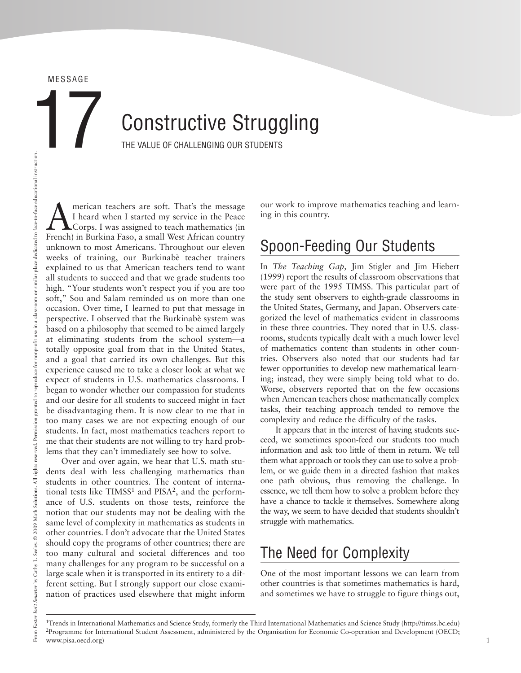MESSAGE

# Constructive Struggling

THE VALUE OF CHALLENGING OUR STUDENTS

17 From Faster Isri't Smarter by Cathy L. Seeley. © 2009 Math Solutions. All rights reserved. Permission granted to reproduce for nonprofit use in a classroom or similar place dedicated to face-to-face educational instruction

**AMERICAN CONTRACTE:** That's the message I heard when I started my service in the Peace Corps. I was assigned to teach mathematics (in French) in Burkina Faso, a small West African country I heard when I started my service in the Peace **L** Corps. I was assigned to teach mathematics (in French) in Burkina Faso, a small West African country unknown to most Americans. Throughout our eleven weeks of training, our Burkinabè teacher trainers explained to us that American teachers tend to want all students to succeed and that we grade students too high. "Your students won't respect you if you are too soft," Sou and Salam reminded us on more than one occasion. Over time, I learned to put that message in perspective. I observed that the Burkinabè system was based on a philosophy that seemed to be aimed largely at eliminating students from the school system—a totally opposite goal from that in the United States, and a goal that carried its own challenges. But this experience caused me to take a closer look at what we expect of students in U.S. mathematics classrooms. I began to wonder whether our compassion for students and our desire for all students to succeed might in fact be disadvantaging them. It is now clear to me that in too many cases we are not expecting enough of our students. In fact, most mathematics teachers report to me that their students are not willing to try hard problems that they can't immediately see how to solve.

Over and over again, we hear that U.S. math students deal with less challenging mathematics than students in other countries. The content of international tests like  $TIMSS<sup>1</sup>$  and  $PISA<sup>2</sup>$ , and the performance of U.S. students on those tests, reinforce the notion that our students may not be dealing with the same level of complexity in mathematics as students in other countries. I don't advocate that the United States should copy the programs of other countries; there are too many cultural and societal differences and too many challenges for any program to be successful on a large scale when it is transported in its entirety to a different setting. But I strongly support our close examination of practices used elsewhere that might inform

our work to improve mathematics teaching and learning in this country.

### Spoon-Feeding Our Students

In *The Teaching Gap,* Jim Stigler and Jim Hiebert (1999) report the results of classroom observations that were part of the 1995 TIMSS. This particular part of the study sent observers to eighth-grade classrooms in the United States, Germany, and Japan. Observers categorized the level of mathematics evident in classrooms in these three countries. They noted that in U.S. classrooms, students typically dealt with a much lower level of mathematics content than students in other countries. Observers also noted that our students had far fewer opportunities to develop new mathematical learning; instead, they were simply being told what to do. Worse, observers reported that on the few occasions when American teachers chose mathematically complex tasks, their teaching approach tended to remove the complexity and reduce the difficulty of the tasks.

It appears that in the interest of having students succeed, we sometimes spoon-feed our students too much information and ask too little of them in return. We tell them what approach or tools they can use to solve a problem, or we guide them in a directed fashion that makes one path obvious, thus removing the challenge. In essence, we tell them how to solve a problem before they have a chance to tackle it themselves. Somewhere along the way, we seem to have decided that students shouldn't struggle with mathematics.

### The Need for Complexity

One of the most important lessons we can learn from other countries is that sometimes mathematics is hard, and sometimes we have to struggle to figure things out,

<sup>1</sup>Trends in International Mathematics and Science Study, formerly the Third International Mathematics and Science Study (http://timss.bc.edu) 2Programme for International Student Assessment, administered by the Organisation for Economic Co-operation and Development (OECD; www.pisa.oecd.org)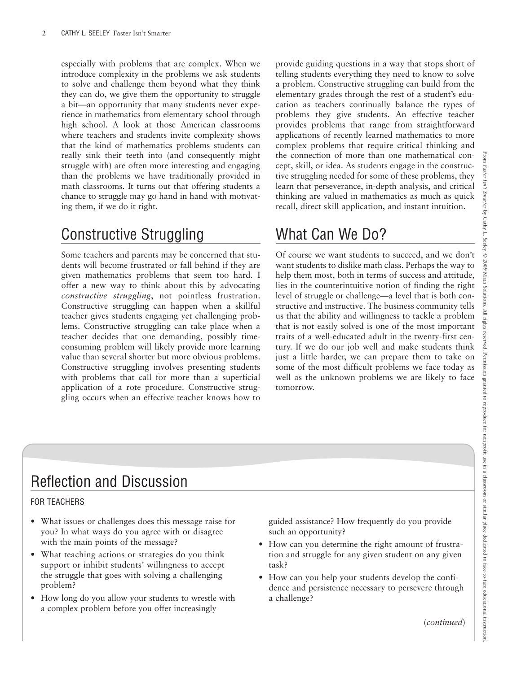especially with problems that are complex. When we introduce complexity in the problems we ask students to solve and challenge them beyond what they think they can do, we give them the opportunity to struggle a bit—an opportunity that many students never experience in mathematics from elementary school through high school. A look at those American classrooms where teachers and students invite complexity shows that the kind of mathematics problems students can really sink their teeth into (and consequently might struggle with) are often more interesting and engaging than the problems we have traditionally provided in math classrooms. It turns out that offering students a chance to struggle may go hand in hand with motivating them, if we do it right.

# Constructive Struggling

Some teachers and parents may be concerned that students will become frustrated or fall behind if they are given mathematics problems that seem too hard. I offer a new way to think about this by advocating *constructive struggling*, not pointless frustration. Constructive struggling can happen when a skillful teacher gives students engaging yet challenging problems. Constructive struggling can take place when a teacher decides that one demanding, possibly timeconsuming problem will likely provide more learning value than several shorter but more obvious problems. Constructive struggling involves presenting students with problems that call for more than a superficial application of a rote procedure. Constructive struggling occurs when an effective teacher knows how to

provide guiding questions in a way that stops short of telling students everything they need to know to solve a problem. Constructive struggling can build from the elementary grades through the rest of a student's education as teachers continually balance the types of problems they give students. An effective teacher provides problems that range from straightforward applications of recently learned mathematics to more complex problems that require critical thinking and the connection of more than one mathematical concept, skill, or idea. As students engage in the constructive struggling needed for some of these problems, they learn that perseverance, in-depth analysis, and critical thinking are valued in mathematics as much as quick recall, direct skill application, and instant intuition.

# What Can We Do?

Of course we want students to succeed, and we don't want students to dislike math class. Perhaps the way to help them most, both in terms of success and attitude, lies in the counterintuitive notion of finding the right level of struggle or challenge—a level that is both constructive and instructive. The business community tells us that the ability and willingness to tackle a problem that is not easily solved is one of the most important traits of a well-educated adult in the twenty-first century. If we do our job well and make students think just a little harder, we can prepare them to take on some of the most difficult problems we face today as well as the unknown problems we are likely to face tomorrow.

### Reflection and Discussion

#### FOR TEACHERS

- What issues or challenges does this message raise for you? In what ways do you agree with or disagree with the main points of the message?
- What teaching actions or strategies do you think support or inhibit students' willingness to accept the struggle that goes with solving a challenging problem?
- How long do you allow your students to wrestle with a complex problem before you offer increasingly

guided assistance? How frequently do you provide such an opportunity?

- How can you determine the right amount of frustration and struggle for any given student on any given task?
- How can you help your students develop the confidence and persistence necessary to persevere through a challenge?